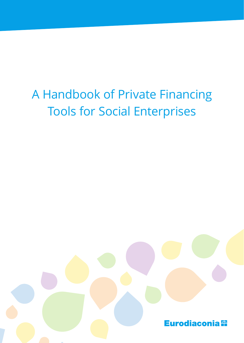# A Handbook of Private Financing Tools for Social Enterprises

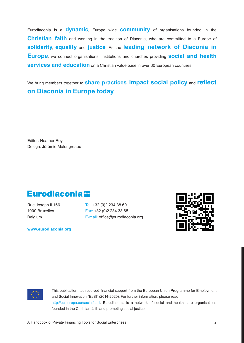Eurodiaconia is a **dynamic**, Europe wide **community** of organisations founded in the **Christian faith** and working in the tradition of Diaconia, who are committed to a Europe of **solidarity**, **equality** and **justice**. As the **leading network of Diaconia in Europe**, we connect organisations, institutions and churches providing **social and health services and education** on a Christian value base in over 30 European countries.

We bring members together to **share practices**, **impact social policy** and **reflect on Diaconia in Europe today**.

Editor: Heather Roy Design: Jérémie Malengreaux

# Eurodiaconia <sup>52</sup>

Rue Joseph II 166 Tel: +32 (0) 2 234 38 60 1000 Bruxelles Fax: +32 (0) 2 234 38 65 Belgium **E-mail:** office@eurodiaconia.org

**www.eurodiaconia.org**





This publication has received financial support from the European Union Programme for Employment and Social Innovation "EaSI" (2014-2020). For further information, please read http://ec.europa.eu/social/easi. Eurodiaconia is a network of social and health care organisations founded in the Christian faith and promoting social justice.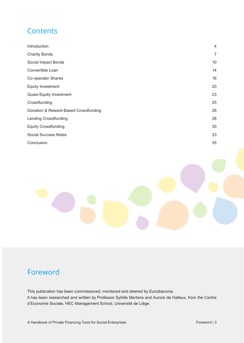# **Contents**

| Introduction                         | 4  |
|--------------------------------------|----|
| <b>Charity Bonds</b>                 | 7  |
| Social Impact Bonds                  | 10 |
| Convertible Loan                     | 14 |
| Co-operator Shares                   | 16 |
| <b>Equity Investment</b>             | 20 |
| Quasi-Equity Investment              | 23 |
| Crowdfunding                         | 25 |
| Donation & Reward-Based Crowdfunding | 26 |
| <b>Lending Crowdfunding</b>          | 28 |
| <b>Equity Crowdfunding</b>           | 30 |
| <b>Social Success Notes</b>          | 33 |
| Conclusion                           | 35 |



This publication has been commissioned, monitored and steered by Eurodiaconia. It has been researched and written by Professor Sybille Mertens and Aurore de Halleux, from the Centre d'Economie Sociale, HEC-Management School, Université de Liège.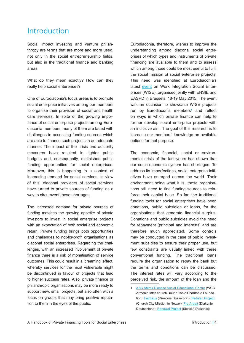# Introduction

Social impact investing and venture philanthropy are terms that are more and more used, not only in the social entrepreneurship fields, but also in the traditional finance and banking areas.

What do they mean exactly? How can they really help social enterprises?

One of Eurodiaconia's focus areas is to promote social enterprise initiatives among our members to organise their provision of social and health care services. In spite of the growing importance of social enterprise projects among Eurodiaconia members, many of them are faced with challenges in accessing funding sources which are able to finance such projects in an adequate manner. The impact of the crisis and austerity measures have resulted in tighter public budgets and, consequently, diminished public funding opportunities for social enterprises. Moreover, this is happening in a context of increasing demand for social services. In view of this, diaconal providers of social services have turned to private sources of funding as a way to circumvent these shortages.

The increased demand for private sources of funding matches the growing appetite of private investors to invest in social enterprise projects with an expectation of both social and economic return. Private funding brings both opportunities and challenges to not-for-profit organisations as diaconal social enterprises. Regarding the challenges, with an increased involvement of private finance there is a risk of monetisation of service outcomes. This could result in a 'creaming' effect, whereby services for the most vulnerable might be discontinued in favour of projects that lead to higher success rates. Also, private finance or philanthropic organisations may be more ready to support new, small projects, but also often with a focus on groups that may bring positive reputation to them in the eyes of the public.

Eurodiaconia, therefore, wishes to improve the understanding among diaconal social enterprises of which types and instruments of private financing are available to them and to assess which among those could be most useful to fulfil the social mission of social enterprise projects. This need was identified at Eurodiaconia's latest event on Work Integration Social Enterprises (WISE), organised jointly with ENSIE and EASPD in Brussels, 18-19 May 2015. The event was an occasion to showcase WISE projects run by Eurodiaconia members<sup>1</sup> and reflect on ways in which private finance can help to further develop social enterprise projects with an inclusive aim. The goal of this research is to increase our members' knowledge on available options for that purpose.

The economic, financial, social or environmental crisis of the last years has shown that our socio-economic system has shortages. To address its imperfections, social enterprise initiatives have emerged across the world. Their environment being what it is, these organisations still need to find funding sources to reinforce their capital base. So far, the traditional funding tools for social enterprises have been donations, public subsidies or loans, for the organisations that generate financial surplus. Donations and public subsidies avoid the need for repayment (principal and interests) and are therefore much appreciated. Some controls may be conducted in the case of public investment subsidies to ensure their proper use, but few constraints are usually linked with these conventional funding. The traditional loans require the organisation to repay the bank but the terms and conditions can be discussed. The interest rates will vary according to the perceived risk, the amount of the loan and the

<sup>1</sup> AAC Shirak Diocese Social-Educational Centre (WCC Armenia Inter-church Round Table Charitable Foundation), Fairhaus (Diakonie Düsseldorf); Pedalen Project (Church City Mission in Noway); Pro Arbeit (Diakonie Deutschland); Renewal Project (Slezská Diakonie);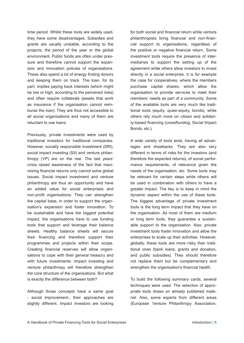time period. Whilst these tools are widely used, they have some disadvantages. Subsidies and grants are usually unstable, according to the projects, the period of the year or the global environment. Public funds are often under pressure and therefore cannot support the expansion and innovation policies of organisations. These also spend a lot of energy finding donors and keeping them on track. The loan, for its part, implies paying back interests (which might be low or high, according to the perceived risks) and often require collaterals (assets that work as insurance if the organisation cannot reimburse the loan). They are thus not accessible to all social organisations and many of them are reluctant to use loans.

Previously, private investments were used by traditional investors for traditional companies. However, socially responsible investment (SRI), social impact investing (SII) and venture philanthropy (VP) are on the rise. The last years' crisis raised awareness of the fact that maximizing financial returns only cannot solve global issues. Social impact investment and venture philanthropy are thus an opportunity and have an added value for social enterprises and non-profit organisations. They can strengthen the capital base, in order to support the organisation's expansion and foster innovation. To be sustainable and have the biggest potential impact, the organisations have to use funding tools that support and leverage their balance sheets. Healthy balance sheets will secure their financing and therefore support their programmes and projects within their scope. Creating financial reserves will allow organisations to cope with their general treasury and with future investments. Impact investing and venture philanthropy will therefore strengthen the core structure of the organisations. But what is exactly the difference between both?

Although those concepts have a same goal - social improvement-, their approaches are slightly different. Impact investors are looking for both social and financial return while venture philanthropists bring financial and non-financial support to organisations, regardless of the positive or negative financial return. Some investment tools require the presence of intermediaries to support the setting up of the agreement while others allow investors to invest directly in a social enterprise. It is for example the case for cooperatives, where the members purchase capital shares, which allow the organisation to provide services to meet their members' needs as part of a community. Some of the available tools are very much like traditional tools (equity, quasi-equity, bonds), while others rely much more on citizen and solidarity-based financing (crowdfunding, Social Impact Bonds, etc.).

A wide variety of tools exist, having all advantages and drawbacks. They are also very different in terms of risks for the investors (and therefore the expected returns), of social performance requirements, of relevance given the needs of the organisation, etc. Some tools may be relevant for certain steps while others will be used in combination with others to have a greater impact. The key is to keep in mind the dynamic aspect within the use of these tools. The biggest advantage of private investment tools is the long term impact that they have on the organisation. As most of them are medium or long term tools, they guarantee a sustainable support to the organisation. Also, private investment tools foster innovation and allow the enterprises to scale up their activities. However, globally, these tools are more risky than traditional ones (bank loans, grants and donation, and public subsidies). They should therefore not replace them but be complementary and strengthen the organisation's financial health.

To build the following summary cards, several techniques were used. The selection of appropriate tools draws on already published material. Also, some experts from different areas (European Venture Philanthropy Association,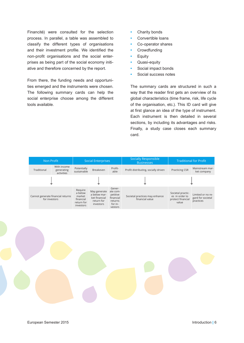Financité) were consulted for the selection process. In parallel, a table was assembled to classify the different types of organisations and their investment profile. We identified the non-profit organisations and the social enterprises as being part of the social economy initiative and therefore concerned by the report.

From there, the funding needs and opportunities emerged and the instruments were chosen. The following summary cards can help the social enterprise choose among the different tools available.

- Charity bonds
- Convertible loans
- Co-operator shares
- Crowdfunding
- Equity
- Quasi-equity
- Social impact bonds
- Social success notes

The summary cards are structured in such a way that the reader first gets an overview of its global characteristics (time frame, risk, life cycle of the organisation, etc.). This ID card will give at first glance an idea of the type of instrument. Each instrument is then detailed in several sections, by including its advantages and risks. Finally, a study case closes each summary card.

| Non Profit                                         |                                         | <b>Social Enterprises</b>                                            |                                                                          |                                                                              | <b>Socially Responsible</b><br><b>Businesses</b>  | <b>Traditional for Profit</b>                                     |                                                     |
|----------------------------------------------------|-----------------------------------------|----------------------------------------------------------------------|--------------------------------------------------------------------------|------------------------------------------------------------------------------|---------------------------------------------------|-------------------------------------------------------------------|-----------------------------------------------------|
| Traditional                                        | With income<br>generating<br>activities | Potentially<br>sustainable                                           | Breakeven                                                                | Profit-<br>able                                                              | Profit distributing, socially driven              | <b>Practicing CSR</b>                                             | Mainstream mar-<br>ket company                      |
|                                                    |                                         |                                                                      |                                                                          |                                                                              |                                                   |                                                                   |                                                     |
| Cannot generate financial returns<br>for investors |                                         | Require<br>a below<br>market<br>financial<br>return for<br>investors | May generate<br>a below mar-<br>ket financial<br>return for<br>investors | Gener-<br>ate com-<br>petitive<br>financial<br>returns<br>for in-<br>vestors | Societal practices may enhance<br>financial value | Societal practic-<br>es in order to<br>protect financial<br>value | Limited or no re-<br>gard for societal<br>practices |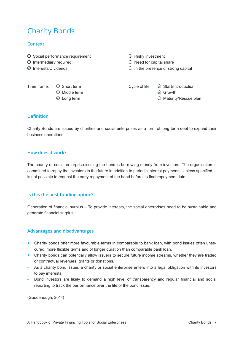# Charity Bonds

# **Context**

- $\circ$  Social performance requirement  $\circ$  Risky investment
- 
- 

 $\bigcirc$  Intermediary required  $\bigcirc$  Need for capital share

 $\odot$  Interests/Dividends  $\odot$  In the presence of strong capital

 $\circledcirc$  Middle term  $\circledcirc$  Growth

Time frame:  $\bigcirc$  Short term Cycle of life:  $\bigcirc$  Start/Introduction

 $\odot$  Long term  $\odot$  Maturity/Rescue plan

# **Definition**

Charity Bonds are issued by charities and social enterprises as a form of long term debt to expand their business operations.

#### **How does it work?**

The charity or social enterprise issuing the bond is borrowing money from investors. The organisation is committed to repay the investors in the future in addition to periodic interest payments. Unless specified, it is not possible to request the early repayment of the bond before its final repayment date.

#### **Is this the best funding option?**

Generation of financial surplus – To provide interests, the social enterprises need to be sustainable and generate financial surplus.

#### **Advantages and disadvantages**

- + Charity bonds offer more favourable terms in comparable to bank loan, with bond issues often unsecured, more flexible terms and of longer duration than comparable bank loan.
- + Charity bonds can potentially allow issuers to secure future income streams, whether they are traded or contractual revenues, grants or donations.
- As a charity bond issuer, a charity or social enterprise enters into a legal obligation with its investors to pay interests.
- Bond investors are likely to demand a high level of transparency and regular financial and social reporting to track the performance over the life of the bond issue.

(Goodenough, 2014)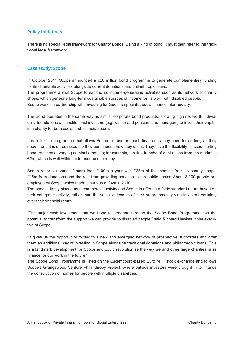## **Policy initiatives**

There is no special legal framework for Charity Bonds. Being a kind of bond, it must then refer to the traditional legal framework.

#### **Case study: Scope**

In October 2011, Scope announced a £20 million bond programme to generate complementary funding for its charitable activities alongside current donations and philanthropic loans. The programme allows Scope to expand its income-generating activities such as its network of charity shops, which generate long-term sustainable sources of income for its work with disabled people. Scope works in partnership with Investing for Good, a specialist social finance intermediary.

The Bond operates in the same way as similar corporate bond products, allowing high net worth individuals, foundations and institutional investors (e.g. wealth and pension fund managers) to invest their capital in a charity for both social and financial return.

It is a flexible programme that allows Scope to raise as much finance as they need for as long as they need – and it is unrestricted, so they can choose how they use it. They have the flexibility to issue sterling bond tranches at varying nominal amounts; for example, the first tranche of debt raises from the market is £2m, which is well within their resources to repay.

Scope reports income of more than £100m a year with £23m of that coming from its charity shops, £15m from donations and the rest from providing services to the public sector. About 3,000 people are employed by Scope which made a surplus of £4m in 2010.

The bond is firmly placed as a commercial activity and Scope is offering a fairly standard return based on their enterprise activity, rather than the social outcomes of their programmes, giving investors certainty over their financial return.

"The major cash investment that we hope to generate through the Scope Bond Programme has the potential to transform the support we can provide to disabled people," said Richard Hawkes, chief executive of Scope.

"It gives us the opportunity to talk to a new and emerging network of prospective supporters and offer them an additional way of investing in Scope alongside traditional donations and philanthropic loans. This is a landmark development for Scope and could revolutionise the way we and other large charities raise finance for our work in the future."

The Scope Bond Programme is listed on the Luxembourg-based Euro MTF stock exchange and follows Scope's Grangewood Venture Philanthropy Project, where outside investors were brought in to finance the construction of homes for people with multiple disabilities.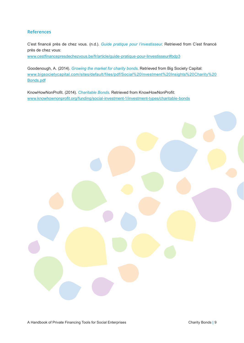# **References**

C'est financé près de chez vous. (n.d.). *Guide pratique pour l'investisseur*. Retrieved from C'est financé près de chez vous:

www.cestfinancepresdechezvous.be/fr/article/guide-pratique-pour-linvestisseur#bdp3

Goodenough, A. (2014). *Growing the market for charity bonds*. Retrieved from Big Society Capital: www.bigsocietycapital.com/sites/default/files/pdf/Social%20Investment%20Insights%20Charity%20 Bonds.pdf

KnowHowNonProfit. (2014). *Charitable Bonds*. Retrieved from KnowHowNonProfit: www.knowhownonprofit.org/funding/social-investment-1/investment-types/charitable-bonds

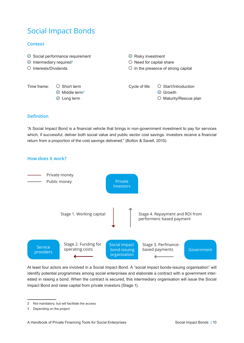# Social Impact Bonds

# **Context**

- $\odot$  Social performance requirement  $\odot$  Risky investment
- Intermediary required**<sup>2</sup>**
- 
- 
- $\bigcirc$  Need for capital share
- O Interests/Dividends **Interests/Dividends** O In the presence of strong capital

Middle term**<sup>3</sup>**

Time frame:  $\bigcirc$  Short term Cycle of life:  $\bigcirc$  Start/Introduction

**⊙** Growth

 $\odot$  Long term  $\odot$  Maturity/Rescue plan

# **Definition**

"A Social Impact Bond is a financial vehicle that brings in non-government investment to pay for services which, if successful, deliver both social value and public sector cost savings. Investors receive a financial return from a proportion of the cost savings delivered." (Bolton & Savell, 2010).





At least four actors are involved in a Social Impact Bond. A "social impact bonds-issuing organisation" will identify potential programmes among social enterprises and elaborate a contract with a government interested in raising a bond. When the contract is secured, this intermediary organisation will issue the Social Impact Bond and raise capital from private investors (Stage 1).

<sup>2</sup> Not mandatory, but will facilitate the access

<sup>3</sup> Depending on the project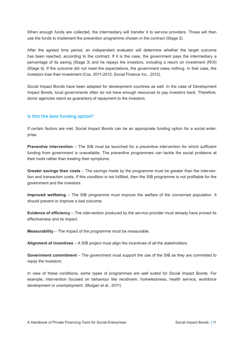When enough funds are collected, the intermediary will transfer it to service providers. Those will then use the funds to implement the prevention programme chosen in the contract (Stage 2).

After the agreed time period, an independent evaluator will determine whether the target outcome has been reached, according to the contract. If it is the case, the government pays the intermediary a percentage of its saving (Stage 3) and he repays the investors, including a return on investment (ROI) (Stage 4). If the outcome did not meet the expectations, the government owes nothing. In that case, the investors lose their investment (Cox, 2011-2012; Social Finance Inc., 2012).

Social Impact Bonds have been adapted for development countries as well. In the case of Development Impact Bonds, local governments often do not have enough resources to pay investors back. Therefore, donor agencies stand as guarantors of repayment to the investors.

# **Is this the best funding option?**

If certain factors are met, Social Impact Bonds can be an appropriate funding option for a social enterprise.

**Preventive intervention** – The SIB must be launched for a preventive intervention for which sufficient funding from government is unavailable. The preventive programmes can tackle the social problems at their roots rather than treating their symptoms.

**Greater savings than costs** – The savings made by the programme must be greater than the intervention and transaction costs. If this condition is not fulfilled, then the SIB programme is not profitable for the government and the investors.

**Improved wellbeing** – The SIB programme must improve the welfare of the concerned population. It should prevent or improve a bad outcome.

**Evidence of efficiency** – The intervention produced by the service provider must already have proved its effectiveness and its impact.

**Measurability** – The impact of the programme must be measurable.

**Alignment of incentives** – A SIB project must align the incentives of all the stakeholders.

**Government commitment** – The government must support the use of the SIB as they are committed to repay the investors.

In view of these conditions, some types of programmes are well suited for Social Impact Bonds. For example, intervention focused on behaviour like recidivism, homelessness, health service, workforce development or unemployment. (Mulgan et al., 2011)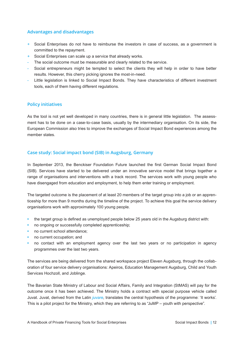# **Advantages and disadvantages**

- + Social Enterprises do not have to reimburse the investors in case of success, as a government is committed to the repayment.
- + Social Enterprises can scale up a service that already works.
- The social outcome must be measurable and clearly related to the service.
- Social entrepreneurs might be tempted to select the clients they will help in order to have better results. However, this cherry picking ignores the most-in-need.
- Little legislation is linked to Social Impact Bonds. They have characteristics of different investment tools, each of them having different regulations.

# **Policy initiatives**

As the tool is not yet well developed in many countries, there is in general little legislation. The assessment has to be done on a case-to-case basis, usually by the intermediary organisation. On its side, the European Commission also tries to improve the exchanges of Social Impact Bond experiences among the member states.

# **Case study: Social impact bond (SIB) in Augsburg, Germany**

In September 2013, the Benckiser Foundation Future launched the first German Social Impact Bond (SIB). Services have started to be delivered under an innovative service model that brings together a range of organisations and interventions with a track record. The services work with young people who have disengaged from education and employment, to help them enter training or employment.

The targeted outcome is the placement of at least 20 members of the target group into a job or an apprenticeship for more than 9 months during the timeline of the project. To achieve this goal the service delivery organisations work with approximately 100 young people.

- **•** the target group is defined as unemployed people below 25 years old in the Augsburg district with:
- **•** no ongoing or successfully completed apprenticeship;
- **•** no current school attendance;
- **•** no current occupation; and
- **•** no contact with an employment agency over the last two years or no participation in agency programmes over the last two years.

The services are being delivered from the shared workspace project Eleven Augsburg, through the collaboration of four service delivery organisations: Apeiros, Education Management Augsburg, Child and Youth Services Hochzoll, and Joblinge.

The Bavarian State Ministry of Labour and Social Affairs, Family and Integration (StMAS) will pay for the outcome once it has been achieved. The Ministry holds a contract with special purpose vehicle called Juvat. Juvat, derived from the Latin *juvare*, translates the central hypothesis of the programme: 'It works'. This is a pilot project for the Ministry, which they are referring to as "JuMP – youth with perspective".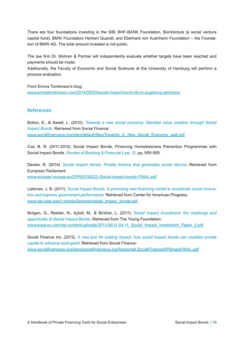There are four foundations investing in the SIB: BHF-BANK Foundation, BonVenture (a social venture capital fund), BMW Foundation Herbert Quandt, and Eberhard von Kuenheim Foundation – the Foundation of BMW AG. The total amount invested is not public.

The law firm Dr. Mohren & Partner will independently evaluate whether targets have been reached and payments should be made.

Additionally, the Faculty of Economic and Social Sciences at the University of Hamburg will perform a process evaluation.

From Emma Tomkinson's blog: www.emmatomkinson.com/2014/08/20/social-impact-bond-sib-in-augsburg-germany/

#### **References**

Bolton, E., & Savell, L. (2010). *Towards a new social economy. Blended value creation through Social Impact Bonds*. Retrieved from Social Finance: www.socialfinanceus.org/sites/default/files/Towards\_A\_New\_Social\_Economy\_web.pdf

Cox, B. R. (2011-2012). Social Impact Bonds. Financing Homelessness Prevention Programmes with Social Impact Bonds. *Review of Banking & Financial Law, 31*, pp. 959-985

Davies, R. (2014). *Social impact bonds. Private finance that generates social returns*. Retrieved from European Parliament: www.europarl.europa.eu/EPRS/538223-Social-impact-bonds-FINAL.pdf

Liebman, J. B. (2011). *Social Impact Bonds. A promising new financing model to accelerate social innovation and improve government performance.* Retrieved from Center for American Progress: www.ssc.wisc.edu/~scholz/Seminar/social\_impact\_bonds.pdf

Mulgan, G., Reeder, N., Aylott, M., & Bo'sher, L. (2011). *Social Impact Investment: the challenge and opportunity of Social Impact Bonds*. Retrieved from The Young Foundation: www.evpa.eu.com/wp-content/uploads/2011/06/11-04-11\_Social\_Impact\_Investment\_Paper\_2.pdf

Social Finance Inc. (2012). *A new tool for scaling impact: how social impact bonds can mobilize private capital to advance socil good.* Retrieved from Social Finance: www.socialfinanceus.org/sites/socialfinanceus.org/files/small.SocialFinanceWPSingleFINAL.pdf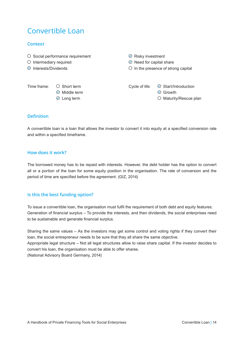# Convertible Loan

# **Context**

- $\circ$  Social performance requirement  $\circ$  Risky investment
- $\circlearrowright$  Intermediary required  $\circlearrowright$  Need for capital share
- $\odot$  Interests/Dividends  $\odot$  In the presence of strong capital

 $\odot$  Middle term  $\odot$  Growth

Time frame:  $\bigcirc$  Short term Cycle of life:  $\bigcirc$  Start/Introduction

 $\odot$  Long term  $\odot$  Maturity/Rescue plan

# **Definition**

A convertible loan is a loan that allows the investor to convert it into equity at a specified conversion rate and within a specified timeframe.

### **How does it work?**

The borrowed money has to be repaid with interests. However, the debt holder has the option to convert all or a portion of the loan for some equity position in the organisation. The rate of conversion and the period of time are specified before the agreement. (GIZ, 2014)

# **Is this the best funding option?**

To issue a convertible loan, the organisation must fulfil the requirement of both debt and equity features: Generation of financial surplus – To provide the interests, and then dividends, the social enterprises need to be sustainable and generate financial surplus.

Sharing the same values – As the investors may get some control and voting rights if they convert their loan, the social entrepreneur needs to be sure that they all share the same objective. Appropriate legal structure – Not all legal structures allow to raise share capital. If the investor decides to convert his loan, the organisation must be able to offer shares. (National Advisory Board Germany, 2014)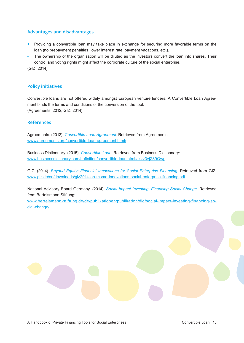### **Advantages and disadvantages**

- + Providing a convertible loan may take place in exchange for securing more favorable terms on the loan (no prepayment penalties, lower interest rate, payment vacations, etc.).
- The ownership of the organisation will be diluted as the investors convert the loan into shares. Their control and voting rights might affect the corporate culture of the social enterprise.

(GIZ, 2014)

#### **Policy initiatives**

Convertible loans are not offered widely amongst European venture lenders. A Convertible Loan Agreement binds the terms and conditions of the conversion of the tool. (Agreements, 2012; GIZ, 2014)

#### **References**

Agreements. (2012). *Convertible Loan Agreement*. Retrieved from Agreements: www.agreements.org/convertible-loan-agreement.html/

Business Dictionnary. (2015). *Convertible Loan*. Retrieved from Business Dictionnary: www.businessdictionary.com/definition/convertible-loan.html#ixzz3vjZ89Qwp

GIZ. (2014). *Beyond Equity: Financial Innovations for Social Enterprise Financing*. Retrieved from GIZ: www.giz.de/en/downloads/giz2014-en-msme-innovations-social-enterprise-financing.pdf

National Advisory Board Germany. (2014). *Social Impact Investing: Financing Social Change*. Retrieved from Bertelsmann Stiftung:

www.bertelsmann-stiftung.de/de/publikationen/publikation/did/social-impact-investing-financing-social-change/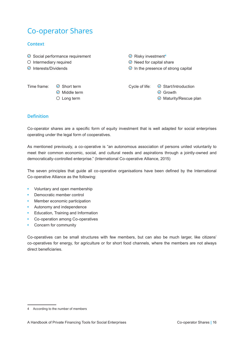# Co-operator Shares

# **Context**

- $\odot$  Social performance requirement  $\odot$  Risky investment<sup>4</sup>
- $\circlearrowright$  Intermediary required  $\circlearrowright$  Need for capital share
- $\odot$  Interests/Dividends  $\odot$  In the presence of strong capital

Time frame:  $\odot$  Short term Cycle of life:  $\odot$  Start/Introduction  $\odot$  Middle term  $\odot$  Growth  $\circ$  Long term  $\circ$  Maturity/Rescue plan

# **Definition**

Co-operator shares are a specific form of equity investment that is well adapted for social enterprises operating under the legal form of cooperatives.

As mentioned previously, a co-operative is "an autonomous association of persons united voluntarily to meet their common economic, social, and cultural needs and aspirations through a jointly-owned and democratically-controlled enterprise." (International Co-operative Alliance, 2015)

The seven principles that guide all co-operative organisations have been defined by the International Co-operative Alliance as the following:

- **•** Voluntary and open membership
- **•** Democratic member control
- **•** Member economic participation
- **•** Autonomy and independence
- **•** Education, Training and Information
- **•** Co-operation among Co-operatives
- **•** Concern for community

Co-operatives can be small structures with few members, but can also be much larger, like citizens' co-operatives for energy, for agriculture or for short food channels, where the members are not always direct beneficiaries.

<sup>4</sup> According to the number of members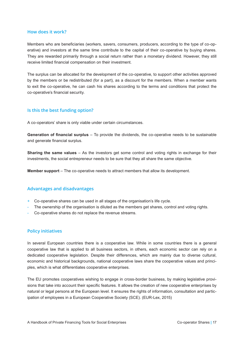#### **How does it work?**

Members who are beneficiaries (workers, savers, consumers, producers, according to the type of co-operative) and investors at the same time contribute to the capital of their co-operative by buying shares. They are rewarded primarily through a social return rather than a monetary dividend. However, they still receive limited financial compensation on their investment.

The surplus can be allocated for the development of the co-operative, to support other activities approved by the members or be redistributed (for a part), as a discount for the members. When a member wants to exit the co-operative, he can cash his shares according to the terms and conditions that protect the co-operative's financial security.

#### **Is this the best funding option?**

A co-operators' share is only viable under certain circumstances.

**Generation of financial surplus** – To provide the dividends, the co-operative needs to be sustainable and generate financial surplus.

**Sharing the same values** – As the investors get some control and voting rights in exchange for their investments, the social entrepreneur needs to be sure that they all share the same objective.

**Member support** – The co-operative needs to attract members that allow its development.

#### **Advantages and disadvantages**

- + Co-operative shares can be used in all stages of the organisation's life cycle.
- The ownership of the organisation is diluted as the members get shares, control and voting rights.
- Co-operative shares do not replace the revenue streams.

#### **Policy initiatives**

In several European countries there is a cooperative law. While in some countries there is a general cooperative law that is applied to all business sectors, in others, each economic sector can rely on a dedicated cooperative legislation. Despite their differences, which are mainly due to diverse cultural, economic and historical backgrounds, national cooperative laws share the cooperative values and principles, which is what differentiates cooperative enterprises.

The EU promotes cooperatives wishing to engage in cross-border business, by making legislative provisions that take into account their specific features. It allows the creation of new cooperative enterprises by natural or legal persons at the European level. It ensures the rights of information, consultation and participation of employees in a European Cooperative Society (SCE). (EUR-Lex, 2015)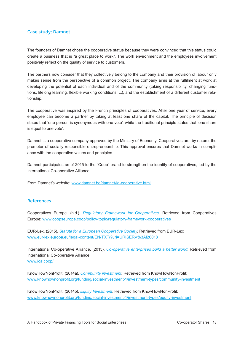#### **Case study: Damnet**

The founders of Damnet chose the cooperative status because they were convinced that this status could create a business that is "a great place to work". The work environment and the employees involvement positively reflect on the quality of service to customers.

The partners now consider that they collectively belong to the company and their provision of labour only makes sense from the perspective of a common project. The company aims at the fulfilment at work at developing the potential of each individual and of the community (taking responsibility, changing functions, lifelong learning, flexible working conditions, ...), and the establishment of a different customer relationship.

The cooperative was inspired by the French principles of cooperatives. After one year of service, every employee can become a partner by taking at least one share of the capital. The principle of decision states that 'one person is synonymous with one vote', while the traditional principle states that 'one share is equal to one vote'.

Damnet is a cooperative company approved by the Ministry of Economy. Cooperatives are, by nature, the promoter of socially responsible entrepreneurship. This approval ensures that Damnet works in compliance with the cooperative values and principles.

Damnet participates as of 2015 to the "Coop" brand to strengthen the identity of cooperatives, led by the International Co-operative Alliance.

From Damnet's website: www.damnet.be/damnet/la-cooperative.html

#### **References**

Cooperatives Europe. (n.d.). *Regulatory Framework for Cooperatives*. Retrieved from Cooperatives Europe: www.coopseurope.coop/policy-topic/regulatory-framework-cooperatives

EUR-Lex. (2015). *Statute for a European Cooperative Society*. Retrieved from EUR-Lex: www.eur-lex.europa.eu/legal-content/EN/TXT/?uri=URISERV%3Al26018

International Co-operative Alliance. (2015). *Co-operative enterprises build a better world*. Retrieved from International Co-operative Alliance: www.ica.coop/

KnowHowNonProfit. (2014a). *Community investment*. Retrieved from KnowHowNonProfit: www.knowhownonprofit.org/funding/social-investment-1/investment-types/community-investment

KnowHowNonProfit. (2014b). *Equity Investment*. Retrieved from KnowHowNonProfit: www.knowhownonprofit.org/funding/social-investment-1/investment-types/equity-investment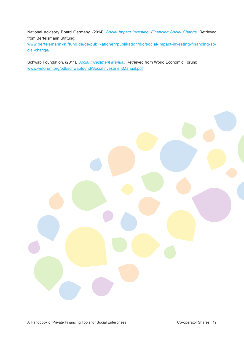National Advisory Board Germany. (2014). *Social Impact Investing: Financing Social Change*. Retrieved from Bertelsmann Stiftung:

www.bertelsmann-stiftung.de/de/publikationen/publikation/did/social-impact-investing-financing-social-change/

Schwab Foundation. (2011). *Social Investment Manual*. Retrieved from World Economic Forum: www.weforum.org/pdf/schwabfound/SocialInvestmentManual.pdf

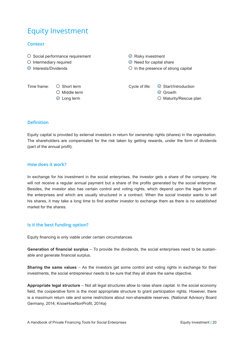# Equity Investment

### **Context**

- $\circ$  Social performance requirement  $\circ$  Risky investment
- 
- 

 $\circledcirc$  Middle term  $\circledcirc$  Growth

- $\circlearrowright$  Intermediary required  $\circlearrowright$  Need for capital share
- $\odot$  Interests/Dividends  $\odot$  In the presence of strong capital

Time frame:  $\bigcirc$  Short term Cycle of life:  $\bigcirc$  Start/Introduction

⊙ Long term  $\circ$  Maturity/Rescue plan

# **Definition**

Equity capital is provided by external investors in return for ownership rights (shares) in the organisation. The shareholders are compensated for the risk taken by getting rewards, under the form of dividends (part of the annual profit).

#### **How does it work?**

In exchange for his investment in the social enterprises, the investor gets a share of the company. He will not receive a regular annual payment but a share of the profits generated by the social enterprise. Besides, the investor also has certain control and voting rights, which depend upon the legal form of the enterprises and which are usually structured in a contract. When the social investor wants to sell his shares, it may take a long time to find another investor to exchange them as there is no established market for the shares.

#### **Is it the best funding option?**

Equity financing is only viable under certain circumstances.

**Generation of financial surplus** – To provide the dividends, the social enterprises need to be sustainable and generate financial surplus.

**Sharing the same values** – As the investors get some control and voting rights in exchange for their investments, the social entrepreneur needs to be sure that they all share the same objective.

**Appropriate legal structure** – Not all legal structures allow to raise share capital. In the social economy field, the cooperative form is the most appropriate structure to grant participation rights. However, there is a maximum return rate and some restrictions about non-shareable reserves. (National Advisory Board Germany, 2014; KnowHowNonProfit, 2014a)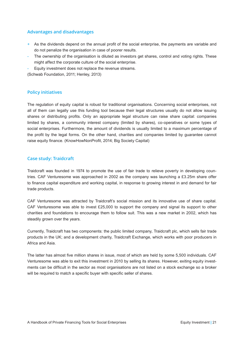### **Advantages and disadvantages**

- + As the dividends depend on the annual profit of the social enterprise, the payments are variable and do not penalize the organisation in case of poorer results.
- The ownership of the organisation is diluted as investors get shares, control and voting rights. These might affect the corporate culture of the social enterprise.
- Equity investment does not replace the revenue streams.

(Schwab Foundation, 2011; Henley, 2013)

# **Policy initiatives**

The regulation of equity capital is robust for traditional organisations. Concerning social enterprises, not all of them can legally use this funding tool because their legal structures usually do not allow issuing shares or distributing profits. Only an appropriate legal structure can raise share capital: companies limited by shares, a community interest company (limited by shares), co-operatives or some types of social enterprises. Furthermore, the amount of dividends is usually limited to a maximum percentage of the profit by the legal forms. On the other hand, charities and companies limited by guarantee cannot raise equity finance. (KnowHowNonProfit, 2014; Big Society Capital)

# **Case study: Traidcraft**

Traidcraft was founded in 1974 to promote the use of fair trade to relieve poverty in developing countries. CAF Venturesome was approached in 2002 as the company was launching a £3.25m share offer to finance capital expenditure and working capital, in response to growing interest in and demand for fair trade products.

CAF Venturesome was attracted by Traidcraft's social mission and its innovative use of share capital. CAF Venturesome was able to invest £25,000 to support the company and signal its support to other charities and foundations to encourage them to follow suit. This was a new market in 2002, which has steadily grown over the years.

Currently, Traidcraft has two components: the public limited company, Traidcraft plc, which sells fair trade products in the UK; and a development charity, Traidcraft Exchange, which works with poor producers in Africa and Asia.

The latter has almost five million shares in issue, most of which are held by some 5,500 individuals. CAF Venturesome was able to exit this investment in 2010 by selling its shares. However, exiting equity investments can be difficult in the sector as most organisations are not listed on a stock exchange so a broker will be required to match a specific buyer with specific seller of shares.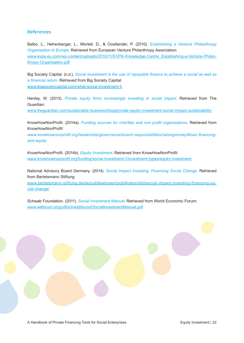### **References**

Balbo, L., Hehenberger, L., Mortell, D., & Oostlander, P. (2010). *Establishing a Venture Philanthropy Organisation in Europe*. Retrieved from European Venture Philanthropy Association: www.evpa.eu.com/wp-content/uploads/2010/11/EVPA-Knowledge-Centre\_Establishing-a-Venture-Philanthropy-Organisation.pdf

Big Society Capital. (n.d.). *Social investment is the use of repayable finance to achieve a social as well as* a financial return. Retrieved from Big Society Capital: www.bigsocietycapital.com/what-social-investment-0

Henley, W. (2013). *Private equity firms increasingly investing in social impact*. Retrieved from The Guardian:

www.theguardian.com/sustainable-business/blog/private-equity-investment-social-impact-sustainability

KnowHowNonProfit. (2014a). *Funding sources for charities and non profit organisations*. Retrieved from KnowHowNonProfit:

www.knowhownonprofit.org/leadership/governance/board-responsibilities/raisingmoney#loan-financing*and-equity*

KnowHowNonProfit. (2014b). *Equity Investment*. Retrieved from KnowHowNonProfit: www.knowhownonprofit.org/funding/social-investment-1/investment-types/equity-investment

National Advisory Board Germany. (2014). *Social Impact Investing: Financing Social Change*. Retrieved from Bertelsmann Stiftung:

www.bertelsmann-stiftung.de/de/publikationen/publikation/did/social-impact-investing-financing-social-change/

Schwab Foundation. (2011). *Social Investment Manual*. Retrieved from World Economic Forum: www.weforum.org/pdf/schwabfound/SocialInvestmentManual.pdf

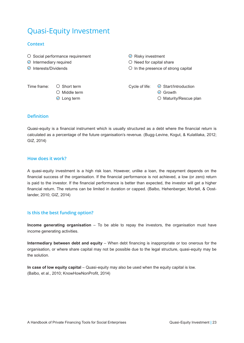# Quasi-Equity Investment

# **Context**

- $\circ$  Social performance requirement  $\circ$  Risky investment
- 
- 

 $\circledcirc$  Middle term  $\circledcirc$  Growth

- $\odot$  Intermediary required  $\odot$  Need for capital share
- $\odot$  Interests/Dividends  $\odot$  In the presence of strong capital

Time frame:  $\bigcirc$  Short term Cycle of life:  $\bigcirc$  Start/Introduction

 $\odot$  Long term  $\odot$  Maturity/Rescue plan

# **Definition**

Quasi-equity is a financial instrument which is usually structured as a debt where the financial return is calculated as a percentage of the future organisation's revenue. (Bugg-Levine, Kogut, & Kulatilaka, 2012; GIZ, 2014)

#### **How does it work?**

A quasi-equity investment is a high risk loan. However, unlike a loan, the repayment depends on the financial success of the organisation. If the financial performance is not achieved, a low (or zero) return is paid to the investor. If the financial performance is better than expected, the investor will get a higher financial return. The returns can be limited in duration or capped. (Balbo, Hehenberger, Mortell, & Oostlander, 2010; GIZ, 2014)

# **Is this the best funding option?**

**Income generating organisation** – To be able to repay the investors, the organisation must have income generating activities.

**Intermediary between debt and equity** – When debt financing is inappropriate or too onerous for the organisation, or where share capital may not be possible due to the legal structure, quasi-equity may be the solution.

**In case of low equity capital** – Quasi-equity may also be used when the equity capital is low. (Balbo, et al., 2010; KnowHowNonProfit, 2014)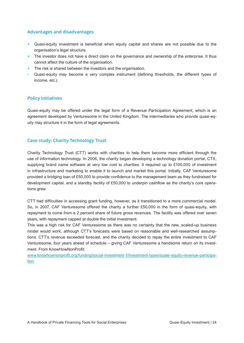# **Advantages and disadvantages**

- + Quasi-equity investment is beneficial when equity capital and shares are not possible due to the organisation's legal structure.
- $+$  The investor does not have a direct claim on the governance and ownership of the enterprise. It thus cannot affect the culture of the organisation.
- + The risk is shared between the investors and the organisation.
- Quasi-equity may become a very complex instrument (defining thresholds, the different types of income, etc.).

# **Policy initiatives**

Quasi-equity may be offered under the legal form of a Revenue Participation Agreement, which is an agreement developed by Venturesome in the United Kingdom. The intermediaries who provide quasi-equity may structure it in the form of legal agreements.

# **Case study: Charity Technology Trust**

Charity Technology Trust (CTT) works with charities to help them become more efficient through the use of information technology. In 2006, the charity began developing a technology donation portal, CTX, supplying brand name software at very low cost to charities. It required up to £100,000 of investment in infrastructure and marketing to enable it to launch and market this portal. Initially, CAF Venturesome provided a bridging loan of £50,000 to provide confidence to the management team as they fundraised for development capital, and a standby facility of £50,000 to underpin cashflow as the charity's core operations grew.

CTT had difficulties in accessing grant funding, however, as it transitioned to a more commercial model. So, in 2007, CAF Venturesome offered the charity a further £50,000 in the form of quasi-equity, with repayment to come from a 2 percent share of future gross revenues. The facility was offered over seven years, with repayment capped at double the initial investment.

This was a high risk for CAF Venturesome as there was no certainty that the new, scaled-up business model would work, although CTT's forecasts were based on reasonable and well-researched assumptions. CTT's revenue exceeded forecast, and the charity decided to repay the entire investment to CAF Venturesome, four years ahead of schedule – giving CAF Venturesome a handsome return on its investment. From KnowHowNonProfit:

www.knowhownonprofit.org/funding/social-investment-1/investment-types/quasi-equity-revenue-participation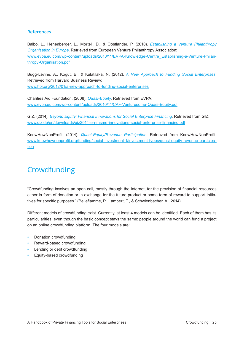### **References**

Balbo, L., Hehenberger, L., Mortell, D., & Oostlander, P. (2010). *Establishing a Venture Philanthropy Organisation in Europe*. Retrieved from European Venture Philanthropy Association: www.evpa.eu.com/wp-content/uploads/2010/11/EVPA-Knowledge-Centre\_Establishing-a-Venture-Philanthropy-Organisation.pdf

Bugg-Levine, A., Kogut, B., & Kulatilaka, N. (2012). *A New Approach to Funding Social Enterprises*. Retrieved from Harvard Business Review: www.hbr.org/2012/01/a-new-approach-to-funding-social-enterprises

Charities Aid Foundation. (2008). *Quasi-Equity*. Retrieved from EVPA: www.evpa.eu.com/wp-content/uploads/2010/11/CAF-Venturesome-Quasi-Equity.pdf

GIZ. (2014). *Beyond Equity: Financial Innovations for Social Enterprise Financing*. Retrieved from GIZ: www.giz.de/en/downloads/giz2014-en-msme-innovations-social-enterprise-financing.pdf

KnowHowNonProfit. (2014). *Quasi-Equity/Revenue Participation*. Retrieved from KnowHowNonProfit: www.knowhownonprofit.org/funding/social-investment-1/investment-types/quasi-equity-revenue-participation

# Crowdfunding

"Crowdfunding involves an open call, mostly through the Internet, for the provision of financial resources either in form of donation or in exchange for the future product or some form of reward to support initiatives for specific purposes." (Belleflamme, P., Lambert, T., & Schwienbacher, A., 2014)

Different models of crowdfunding exist. Currently, at least 4 models can be identified. Each of them has its particularities, even though the basic concept stays the same: people around the world can fund a project on an online crowdfunding platform. The four models are:

- **•** Donation crowdfunding
- **•** Reward-based crowdfunding
- **•** Lending or debt crowdfunding
- **•** Equity-based crowdfunding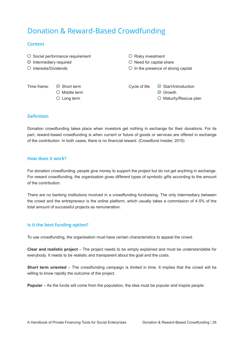# Donation & Reward-Based Crowdfunding

### **Context**

- $\overline{O}$  Social performance requirement  $\overline{O}$  Risky investment
- $\odot$  Intermediary required  $\odot$  Need for capital share
- 

 $\bigcirc$  Interests/Dividends  $\bigcirc$  In the presence of strong capital

 $\circledcirc$  Middle term  $\circledcirc$  Growth

Time frame:  $\odot$  Short term Cycle of life:  $\odot$  Start/Introduction

O Long term  $\bigcirc$  Maturity/Rescue plan

# **Definition**

Donation crowdfunding takes place when investors get nothing in exchange for their donations. For its part, reward-based crowdfunding is when current or future of goods or services are offered in exchange of the contribution. In both cases, there is no financial reward. (Crowdfund Insider, 2015)

# **How does it work?**

For donation crowdfunding, people give money to support the project but do not get anything in exchange. For reward crowdfunding, the organisation gives different types of symbolic gifts according to the amount of the contribution.

There are no banking institutions involved in a crowdfunding fundraising. The only intermediary between the crowd and the entrepreneur is the online platform, which usually takes a commission of 4-5% of the total amount of successful projects as remuneration.

# **Is it the best funding option?**

To use crowdfunding, the organisation must have certain characteristics to appeal the crowd:

**Clear and realistic project** – The project needs to be simply explained and must be understandable for everybody. It needs to be realistic and transparent about the goal and the costs.

**Short term oriented** – The crowdfunding campaign is limited in time. It implies that the crowd will be willing to know rapidly the outcome of the project.

**Popular** – As the funds will come from the population, the idea must be popular and inspire people.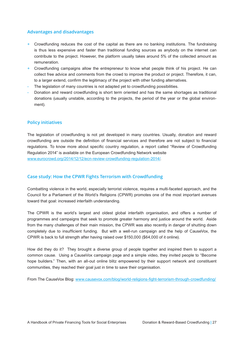### **Advantages and disadvantages**

- $+$  Crowdfunding reduces the cost of the capital as there are no banking institutions. The fundraising is thus less expensive and faster than traditional funding sources as anybody on the internet can contribute to the project. However, the platform usually takes around 5% of the collected amount as remuneration.
- + Crowdfunding campaigns allow the entrepreneur to know what people think of his project. He can collect free advice and comments from the crowd to improve the product or project. Therefore, it can, to a larger extend, confirm the legitimacy of the project with other funding alternatives.
- The legislation of many countries is not adapted yet to crowdfunding possibilities.
- Donation and reward crowdfunding is short term oriented and has the same shortages as traditional donations (usually unstable, according to the projects, the period of the year or the global environment).

#### **Policy initiatives**

The legislation of crowdfunding is not yet developed in many countries. Usually, donation and reward crowdfunding are outside the definition of financial services and therefore are not subject to financial regulations. To know more about specific country regulation, a report called "Review of Crowdfunding Regulation 2014" is available on the European Crowdfunding Network website www.eurocrowd.org/2014/12/12/ecn-review-crowdfunding-regulation-2014/.

# **Case study: How the CPWR Fights Terrorism with Crowdfunding**

Combatting violence in the world, especially terrorist violence, requires a multi-faceted approach, and the Council for a Parliament of the World's Religions (CPWR) promotes one of the most important avenues toward that goal: increased interfaith understanding.

The CPWR is the world's largest and oldest global interfaith organisation, and offers a number of programmes and campaigns that seek to promote greater harmony and justice around the world. Aside from the many challenges of their main mission, the CPWR was also recently in danger of shutting down completely due to insufficient funding. But with a well-run campaign and the help of CauseVox, the CPWR is back to full strength after having raised over \$150,000 (\$64,000 of it online).

How did they do it? They brought a diverse group of people together and inspired them to support a common cause. Using a CauseVox campaign page and a simple video, they invited people to "Become hope builders." Then, with an all-out online blitz empowered by their support network and constituent communities, they reached their goal just in time to save their organisation.

From The CauseVox Blog: www.causevox.com/blog/world-religions-fight-terrorism-through-crowdfunding/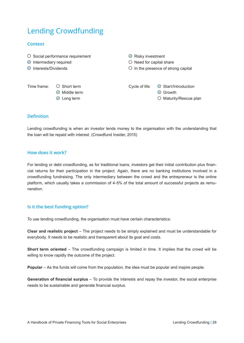# Lending Crowdfunding

### **Context**

| $\odot$ Intermediary required<br>$\odot$ Interests/Dividends | $\circ$ Social performance requirement                                            | $\odot$ Risky investment<br>$\circ$ Need for capital share<br>$\circ$ In the presence of strong capital |                                                                              |  |
|--------------------------------------------------------------|-----------------------------------------------------------------------------------|---------------------------------------------------------------------------------------------------------|------------------------------------------------------------------------------|--|
| Time frame:                                                  | $\circ$ Short term<br>Middle term<br>$(\blacktriangleright)$<br>$\odot$ Long term | Cycle of life:                                                                                          | $\odot$ Start/Introduction<br>$\odot$ Growth<br>$\circ$ Maturity/Rescue plan |  |

#### **Definition**

Lending crowdfunding is when an investor lends money to the organisation with the understanding that the loan will be repaid with interest. (Crowdfund Insider, 2015)

#### **How does it work?**

For lending or debt crowdfunding, as for traditional loans, investors get their initial contribution plus financial returns for their participation in the project. Again, there are no banking institutions involved in a crowdfunding fundraising. The only intermediary between the crowd and the entrepreneur is the online platform, which usually takes a commission of 4-5% of the total amount of successful projects as remuneration.

#### **Is it the best funding option?**

To use lending crowdfunding, the organisation must have certain characteristics:

**Clear and realistic project** – The project needs to be simply explained and must be understandable for everybody. It needs to be realistic and transparent about its goal and costs.

**Short term oriented** – The crowdfunding campaign is limited in time. It implies that the crowd will be willing to know rapidly the outcome of the project.

**Popular** – As the funds will come from the population, the idea must be popular and inspire people.

**Generation of financial surplus** – To provide the interests and repay the investor, the social enterprise needs to be sustainable and generate financial surplus.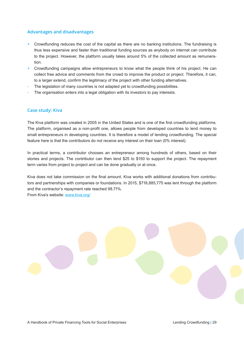## **Advantages and disadvantages**

- $+$  Crowdfunding reduces the cost of the capital as there are no banking institutions. The fundraising is thus less expensive and faster than traditional funding sources as anybody on internet can contribute to the project. However, the platform usually takes around 5% of the collected amount as remuneration.
- + Crowdfunding campaigns allow entrepreneurs to know what the people think of his project. He can collect free advice and comments from the crowd to improve the product or project. Therefore, it can, to a larger extend, confirm the legitimacy of the project with other funding alternatives.
- The legislation of many countries is not adapted yet to crowdfunding possibilities.
- The organisation enters into a legal obligation with its investors to pay interests.

#### **Case study: Kiva**

The Kiva platform was created in 2005 in the United States and is one of the first crowdfunding platforms. The platform, organised as a non-profit one, allows people from developed countries to lend money to small entrepreneurs in developing countries. It is therefore a model of lending crowdfunding. The special feature here is that the contributors do not receive any interest on their loan (0% interest).

In practical terms, a contributor chooses an entrepreneur among hundreds of others, based on their stories and projects. The contributor can then lend \$25 to \$150 to support the project. The repayment term varies from project to project and can be done gradually or at once.

Kiva does not take commission on the final amount. Kiva works with additional donations from contributors and partnerships with companies or foundations. In 2015, \$718,885,775 was lent through the platform and the contractor's repayment rate reached 98.71%. From Kiva's website: www.kiva.org/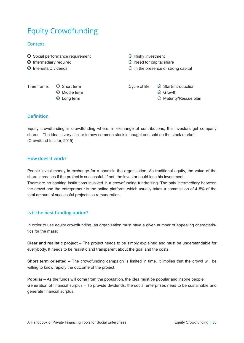# Equity Crowdfunding

# **Context**

- $\circ$  Social performance requirement  $\circ$  Risky investment
- 
- 

 $\odot$  Middle term  $\odot$  Growth

- $\odot$  Intermediary required  $\odot$  Need for capital share
- $\odot$  Interests/Dividends  $\odot$  In the presence of strong capital

Time frame:  $\bigcirc$  Short term Cycle of life:  $\bigcirc$  Start/Introduction

 $\odot$  Long term  $\odot$  Maturity/Rescue plan

# **Definition**

Equity crowdfunding is crowdfunding where, in exchange of contributions, the investors get company shares. The idea is very similar to how common stock is bought and sold on the stock market. (Crowdfund Insider, 2015)

#### **How does it work?**

People invest money in exchange for a share in the organisation. As traditional equity, the value of the share increases if the project is successful. If not, the investor could lose his investment. There are no banking institutions involved in a crowdfunding fundraising. The only intermediary between the crowd and the entrepreneur is the online platform, which usually takes a commission of 4-5% of the

# **Is it the best funding option?**

total amount of successful projects as remuneration.

In order to use equity crowdfunding, an organisation must have a given number of appealing characteristics for the mass:

**Clear and realistic project** – The project needs to be simply explained and must be understandable for everybody. It needs to be realistic and transparent about the goal and the costs.

**Short term oriented** – The crowdfunding campaign is limited in time. It implies that the crowd will be willing to know rapidly the outcome of the project.

**Popular** – As the funds will come from the population, the idea must be popular and inspire people. Generation of financial surplus – To provide dividends, the social enterprises need to be sustainable and generate financial surplus.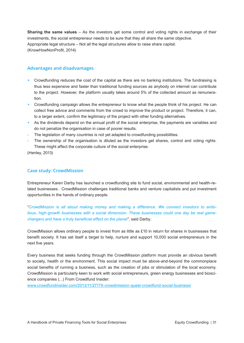**Sharing the same values** – As the investors get some control and voting rights in exchange of their investments, the social entrepreneur needs to be sure that they all share the same objective. Appropriate legal structure – Not all the legal structures allow to raise share capital. (KnowHowNonProfit, 2014)

### **Advantages and disadvantages**

- + Crowdfunding reduces the cost of the capital as there are no banking institutions. The fundraising is thus less expensive and faster than traditional funding sources as anybody on internet can contribute to the project. However, the platform usually takes around 5% of the collected amount as remuneration.
- $+$  Crowdfunding campaign allows the entrepreneur to know what the people think of his project. He can collect free advice and comments from the crowd to improve the product or project. Therefore, it can, to a larger extent, confirm the legitimacy of the project with other funding alternatives.
- + As the dividends depend on the annual profit of the social enterprise, the payments are variables and do not penalize the organisation in case of poorer results.
- The legislation of many countries is not yet adapted to crowdfunding possibilities.
- The ownership of the organisation is diluted as the investors get shares, control and voting rights. These might affect the corporate culture of the social enterprise.

(Henley, 2013)

### **Case study: CrowdMission**

Entrepreneur Karen Darby has launched a crowdfunding site to fund social, environmental and health-related businesses. CrowdMission challenges traditional banks and venture capitalists and put investment opportunities in the hands of ordinary people.

"*CrowdMission is all about making money and making a difference. We connect investors to ambitious, high-growth businesses with a social dimension. These businesses could one day be real gamechangers and have a truly beneficial effect on the planet*", said Darby.

CrowdMission allows ordinary people to invest from as little as £10 in return for shares in businesses that benefit society. It has set itself a target to help, nurture and support 10,000 social entrepreneurs in the next five years.

Every business that seeks funding through the CrowdMission platform must provide an obvious benefit to society, health or the environment. This social impact must be above-and-beyond the commonplace social benefits of running a business, such as the creation of jobs or stimulation of the local economy. CrowdMission is particularly keen to work with social entrepreneurs, green energy businesses and bioscience companies (…) From Crowdfund Insider:

www.crowdfundinsider.com/2013/11/27179-crowdmission-quest-crowdfund-social-business/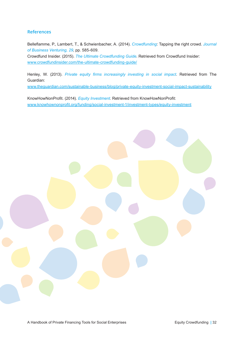# **References**

Belleflamme, P., Lambert, T., & Schwienbacher, A. (2014). *Crowdfunding*: Tapping the right crowd. *Journal of Business Venturing, 29*, pp. 585-609. Crowdfund Insider. (2015). *The Ultimate Crowdfunding Guide*. Retrieved from Crowdfund Insider: www.crowdfundinsider.com/the-ultimate-crowdfunding-guide/

Henley, W. (2013). *Private equity firms increasingly investing in social impact*. Retrieved from The Guardian:

www.theguardian.com/sustainable-business/blog/private-equity-investment-social-impact-sustainability

KnowHowNonProfit. (2014). *Equity Investment*. Retrieved from KnowHowNonProfit: www.knowhownonprofit.org/funding/social-investment-1/investment-types/equity-investment

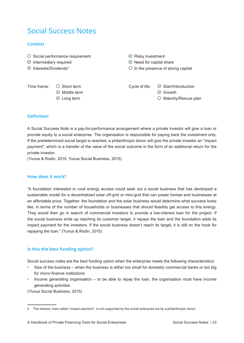# Social Success Notes

# **Context**

- $\circ$  Social performance requirement  $\circ$  Risky investment
- 
- Interests/Dividends**<sup>5</sup>**

 $\odot$  Middle term  $\odot$  Growth

- $\odot$  Intermediary required  $\odot$  Need for capital share
	- $\circ$  In the presence of strong capital

Time frame:  $\bigcirc$  Short term Cycle of life:  $\bigcirc$  Start/Introduction

 $\odot$  Long term  $\odot$  Maturity/Rescue plan

# **Definition**

A Social Success Note is a pay-for-performance arrangement where a private investor will give a loan or provide equity to a social enterprise. The organisation is responsible for paying back the investment only. If the predetermined social target is reached, a philanthropic donor will give the private investor an "impact payment", which is a transfer of the value of the social outcome in the form of an additional return for the private investor.

(Yunus & Rodin, 2015; Yunus Social Business, 2015)

#### **How does it work?**

"A foundation interested in rural energy access could seek out a social business that has developed a sustainable model for a decentralized solar off-grid or mini-grid that can power homes and businesses at an affordable price. Together, the foundation and the solar business would determine what success looks like, in terms of the number of households or businesses that should feasibly get access to this energy. They would then go in search of commercial investors to provide a low-interest loan for the project. If the social business ends up reaching its customer target, it repays the loan and the foundation adds its impact payment for the investors. If the social business doesn't reach its target, it is still on the hook for repaying the loan." (Yunus & Rodin, 2015)

# **Is this the best funding option?**

Social success notes are the best funding option when the enterprise meets the following characteristics:

- Size of the business when the business is either too small for domestic commercial banks or too big for micro-finance institutions
- Income generating organisation to be able to repay the loan, the organisation must have income generating activities.

(Yunus Social Business, 2015)

<sup>5</sup> The interest, here called "impact payment", is not supported by the social enterprise but by a philanthropic donor.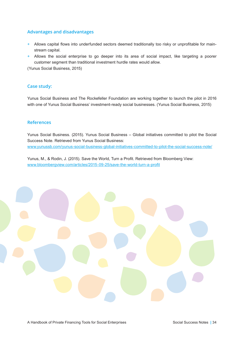## **Advantages and disadvantages**

- $+$  Allows capital flows into underfunded sectors deemed traditionally too risky or unprofitable for mainstream capital.
- + Allows the social enterprise to go deeper into its area of social impact, like targeting a poorer customer segment than traditional investment hurdle rates would allow.

(Yunus Social Business, 2015)

#### **Case study:**

Yunus Social Business and The Rockefeller Foundation are working together to launch the pilot in 2016 with one of Yunus Social Business' investment-ready social businesses. (Yunus Social Business, 2015)

#### **References**

Yunus Social Business. (2015). Yunus Social Business – Global initiatives committed to pilot the Social Success Note. Retrieved from Yunus Social Business: www.yunussb.com/yunus-social-business-global-initiatives-committed-to-pilot-the-social-success-note/

Yunus, M., & Rodin, J. (2015). Save the World, Turn a Profit. Retrieved from Bloomberg View: www.bloombergview.com/articles/2015-09-25/save-the-world-turn-a-profit

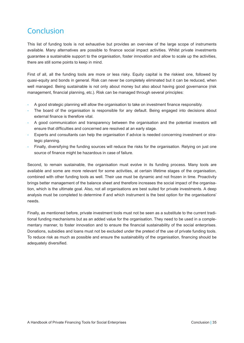# Conclusion

This list of funding tools is not exhaustive but provides an overview of the large scope of instruments available. Many alternatives are possible to finance social impact activities. Whilst private investments guarantee a sustainable support to the organisation, foster innovation and allow to scale up the activities, there are still some points to keep in mind.

First of all, all the funding tools are more or less risky. Equity capital is the riskiest one, followed by quasi-equity and bonds in general. Risk can never be completely eliminated but it can be reduced, when well managed. Being sustainable is not only about money but also about having good governance (risk management, financial planning, etc.). Risk can be managed through several principles:

- A good strategic planning will allow the organisation to take on investment finance responsibly.
- The board of the organisation is responsible for any default. Being engaged into decisions about external finance is therefore vital.
- A good communication and transparency between the organisation and the potential investors will ensure that difficulties and concerned are resolved at an early stage.
- Experts and consultants can help the organisation if advice is needed concerning investment or strategic planning.
- Finally, diversifying the funding sources will reduce the risks for the organisation. Relying on just one source of finance might be hazardous in case of failure.

Second, to remain sustainable, the organisation must evolve in its funding process. Many tools are available and some are more relevant for some activities, at certain lifetime stages of the organisation, combined with other funding tools as well. Their use must be dynamic and not frozen in time. Proactivity brings better management of the balance sheet and therefore increases the social impact of the organisation, which is the ultimate goal. Also, not all organisations are best suited for private investments. A deep analysis must be completed to determine if and which instrument is the best option for the organisations' needs.

Finally, as mentioned before, private investment tools must not be seen as a substitute to the current traditional funding mechanisms but as an added value for the organisation. They need to be used in a complementary manner, to foster innovation and to ensure the financial sustainability of the social enterprises. Donations, subsidies and loans must not be excluded under the pretext of the use of private funding tools. To reduce risk as much as possible and ensure the sustainability of the organisation, financing should be adequately diversified.